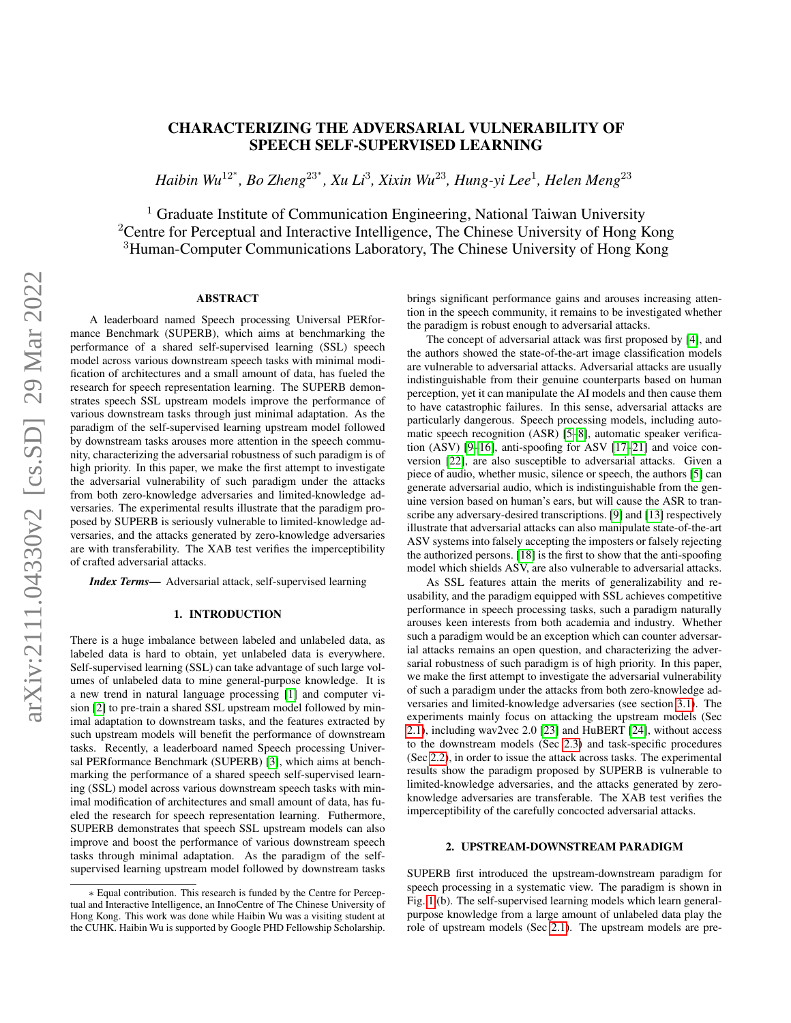# CHARACTERIZING THE ADVERSARIAL VULNERABILITY OF SPEECH SELF-SUPERVISED LEARNING

*Haibin Wu*<sup>12</sup><sup>∗</sup> *, Bo Zheng*<sup>23</sup><sup>∗</sup> *, Xu Li*<sup>3</sup> *, Xixin Wu*<sup>23</sup>*, Hung-yi Lee*<sup>1</sup> *, Helen Meng*<sup>23</sup>

<sup>1</sup> Graduate Institute of Communication Engineering, National Taiwan University <sup>2</sup> Centre for Perceptual and Interactive Intelligence, The Chinese University of Hong Kong <sup>3</sup>Human-Computer Communications Laboratory, The Chinese University of Hong Kong

## ABSTRACT

A leaderboard named Speech processing Universal PERformance Benchmark (SUPERB), which aims at benchmarking the performance of a shared self-supervised learning (SSL) speech model across various downstream speech tasks with minimal modification of architectures and a small amount of data, has fueled the research for speech representation learning. The SUPERB demonstrates speech SSL upstream models improve the performance of various downstream tasks through just minimal adaptation. As the paradigm of the self-supervised learning upstream model followed by downstream tasks arouses more attention in the speech community, characterizing the adversarial robustness of such paradigm is of high priority. In this paper, we make the first attempt to investigate the adversarial vulnerability of such paradigm under the attacks from both zero-knowledge adversaries and limited-knowledge adversaries. The experimental results illustrate that the paradigm proposed by SUPERB is seriously vulnerable to limited-knowledge adversaries, and the attacks generated by zero-knowledge adversaries are with transferability. The XAB test verifies the imperceptibility of crafted adversarial attacks.

*Index Terms*— Adversarial attack, self-supervised learning

#### 1. INTRODUCTION

There is a huge imbalance between labeled and unlabeled data, as labeled data is hard to obtain, yet unlabeled data is everywhere. Self-supervised learning (SSL) can take advantage of such large volumes of unlabeled data to mine general-purpose knowledge. It is a new trend in natural language processing [\[1\]](#page-4-0) and computer vision [\[2\]](#page-4-1) to pre-train a shared SSL upstream model followed by minimal adaptation to downstream tasks, and the features extracted by such upstream models will benefit the performance of downstream tasks. Recently, a leaderboard named Speech processing Universal PERformance Benchmark (SUPERB) [\[3\]](#page-4-2), which aims at benchmarking the performance of a shared speech self-supervised learning (SSL) model across various downstream speech tasks with minimal modification of architectures and small amount of data, has fueled the research for speech representation learning. Futhermore, SUPERB demonstrates that speech SSL upstream models can also improve and boost the performance of various downstream speech tasks through minimal adaptation. As the paradigm of the selfsupervised learning upstream model followed by downstream tasks brings significant performance gains and arouses increasing attention in the speech community, it remains to be investigated whether the paradigm is robust enough to adversarial attacks.

The concept of adversarial attack was first proposed by [\[4\]](#page-4-3), and the authors showed the state-of-the-art image classification models are vulnerable to adversarial attacks. Adversarial attacks are usually indistinguishable from their genuine counterparts based on human perception, yet it can manipulate the AI models and then cause them to have catastrophic failures. In this sense, adversarial attacks are particularly dangerous. Speech processing models, including automatic speech recognition (ASR) [\[5–](#page-4-4)[8\]](#page-4-5), automatic speaker verification (ASV) [\[9–](#page-4-6)[16\]](#page-4-7), anti-spoofing for ASV [\[17](#page-4-8)[–21\]](#page-4-9) and voice conversion [\[22\]](#page-4-10), are also susceptible to adversarial attacks. Given a piece of audio, whether music, silence or speech, the authors [\[5\]](#page-4-4) can generate adversarial audio, which is indistinguishable from the genuine version based on human's ears, but will cause the ASR to transcribe any adversary-desired transcriptions. [\[9\]](#page-4-6) and [\[13\]](#page-4-11) respectively illustrate that adversarial attacks can also manipulate state-of-the-art ASV systems into falsely accepting the imposters or falsely rejecting the authorized persons. [\[18\]](#page-4-12) is the first to show that the anti-spoofing model which shields ASV, are also vulnerable to adversarial attacks.

As SSL features attain the merits of generalizability and reusability, and the paradigm equipped with SSL achieves competitive performance in speech processing tasks, such a paradigm naturally arouses keen interests from both academia and industry. Whether such a paradigm would be an exception which can counter adversarial attacks remains an open question, and characterizing the adversarial robustness of such paradigm is of high priority. In this paper, we make the first attempt to investigate the adversarial vulnerability of such a paradigm under the attacks from both zero-knowledge adversaries and limited-knowledge adversaries (see section [3.1\)](#page-1-0). The experiments mainly focus on attacking the upstream models (Sec [2.1\)](#page-1-1), including wav2vec 2.0 [\[23\]](#page-4-13) and HuBERT [\[24\]](#page-4-14), without access to the downstream models (Sec [2.3\)](#page-1-2) and task-specific procedures (Sec [2.2\)](#page-1-3), in order to issue the attack across tasks. The experimental results show the paradigm proposed by SUPERB is vulnerable to limited-knowledge adversaries, and the attacks generated by zeroknowledge adversaries are transferable. The XAB test verifies the imperceptibility of the carefully concocted adversarial attacks.

## 2. UPSTREAM-DOWNSTREAM PARADIGM

SUPERB first introduced the upstream-downstream paradigm for speech processing in a systematic view. The paradigm is shown in Fig. [1](#page-2-0) (b). The self-supervised learning models which learn generalpurpose knowledge from a large amount of unlabeled data play the role of upstream models (Sec [2.1\)](#page-1-1). The upstream models are pre-

<sup>∗</sup> Equal contribution. This research is funded by the Centre for Perceptual and Interactive Intelligence, an InnoCentre of The Chinese University of Hong Kong. This work was done while Haibin Wu was a visiting student at the CUHK. Haibin Wu is supported by Google PHD Fellowship Scholarship.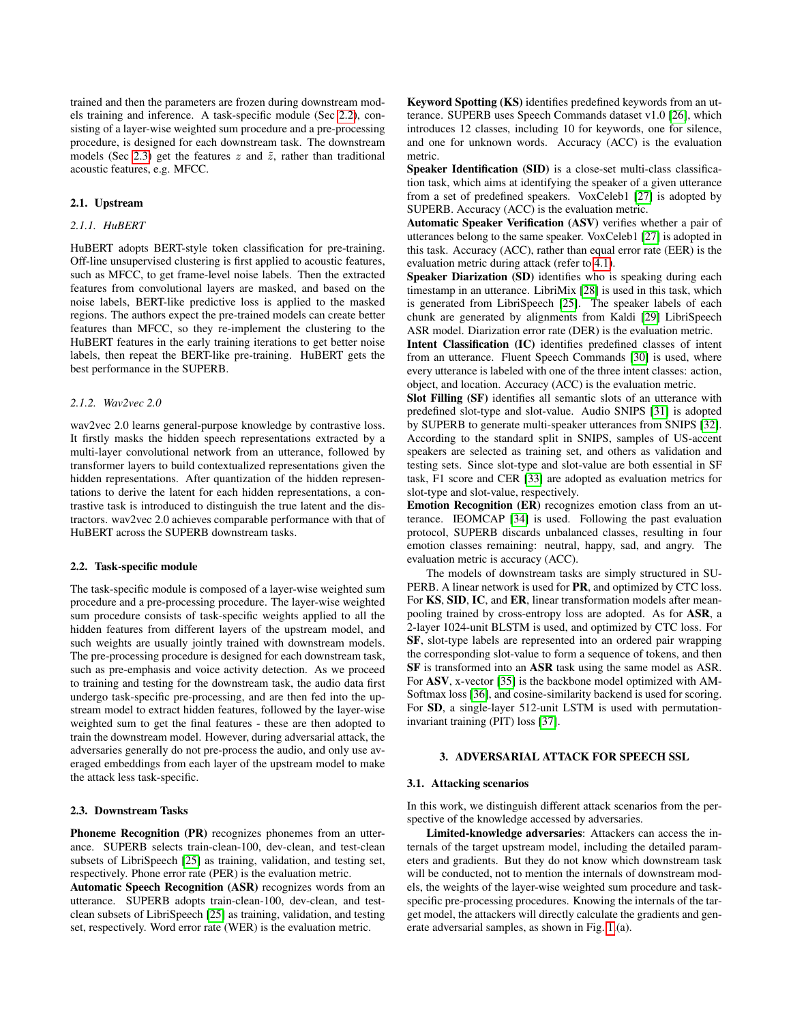trained and then the parameters are frozen during downstream models training and inference. A task-specific module (Sec [2.2\)](#page-1-3), consisting of a layer-wise weighted sum procedure and a pre-processing procedure, is designed for each downstream task. The downstream models (Sec [2.3\)](#page-1-2) get the features  $z$  and  $\tilde{z}$ , rather than traditional acoustic features, e.g. MFCC.

#### <span id="page-1-1"></span>2.1. Upstream

## *2.1.1. HuBERT*

HuBERT adopts BERT-style token classification for pre-training. Off-line unsupervised clustering is first applied to acoustic features, such as MFCC, to get frame-level noise labels. Then the extracted features from convolutional layers are masked, and based on the noise labels, BERT-like predictive loss is applied to the masked regions. The authors expect the pre-trained models can create better features than MFCC, so they re-implement the clustering to the HuBERT features in the early training iterations to get better noise labels, then repeat the BERT-like pre-training. HuBERT gets the best performance in the SUPERB.

## *2.1.2. Wav2vec 2.0*

wav2vec 2.0 learns general-purpose knowledge by contrastive loss. It firstly masks the hidden speech representations extracted by a multi-layer convolutional network from an utterance, followed by transformer layers to build contextualized representations given the hidden representations. After quantization of the hidden representations to derive the latent for each hidden representations, a contrastive task is introduced to distinguish the true latent and the distractors. wav2vec 2.0 achieves comparable performance with that of HuBERT across the SUPERB downstream tasks.

## <span id="page-1-3"></span>2.2. Task-specific module

The task-specific module is composed of a layer-wise weighted sum procedure and a pre-processing procedure. The layer-wise weighted sum procedure consists of task-specific weights applied to all the hidden features from different layers of the upstream model, and such weights are usually jointly trained with downstream models. The pre-processing procedure is designed for each downstream task, such as pre-emphasis and voice activity detection. As we proceed to training and testing for the downstream task, the audio data first undergo task-specific pre-processing, and are then fed into the upstream model to extract hidden features, followed by the layer-wise weighted sum to get the final features - these are then adopted to train the downstream model. However, during adversarial attack, the adversaries generally do not pre-process the audio, and only use averaged embeddings from each layer of the upstream model to make the attack less task-specific.

#### <span id="page-1-2"></span>2.3. Downstream Tasks

Phoneme Recognition (PR) recognizes phonemes from an utterance. SUPERB selects train-clean-100, dev-clean, and test-clean subsets of LibriSpeech [\[25\]](#page-4-15) as training, validation, and testing set, respectively. Phone error rate (PER) is the evaluation metric.

Automatic Speech Recognition (ASR) recognizes words from an utterance. SUPERB adopts train-clean-100, dev-clean, and testclean subsets of LibriSpeech [\[25\]](#page-4-15) as training, validation, and testing set, respectively. Word error rate (WER) is the evaluation metric.

Keyword Spotting (KS) identifies predefined keywords from an utterance. SUPERB uses Speech Commands dataset v1.0 [\[26\]](#page-4-16), which introduces 12 classes, including 10 for keywords, one for silence, and one for unknown words. Accuracy (ACC) is the evaluation metric.

Speaker Identification (SID) is a close-set multi-class classification task, which aims at identifying the speaker of a given utterance from a set of predefined speakers. VoxCeleb1 [\[27\]](#page-4-17) is adopted by SUPERB. Accuracy (ACC) is the evaluation metric.

Automatic Speaker Verification (ASV) verifies whether a pair of utterances belong to the same speaker. VoxCeleb1 [\[27\]](#page-4-17) is adopted in this task. Accuracy (ACC), rather than equal error rate (EER) is the evaluation metric during attack (refer to [4.1\)](#page-2-1).

Speaker Diarization (SD) identifies who is speaking during each timestamp in an utterance. LibriMix [\[28\]](#page-4-18) is used in this task, which is generated from LibriSpeech [\[25\]](#page-4-15). The speaker labels of each chunk are generated by alignments from Kaldi [\[29\]](#page-4-19) LibriSpeech ASR model. Diarization error rate (DER) is the evaluation metric.

Intent Classification (IC) identifies predefined classes of intent from an utterance. Fluent Speech Commands [\[30\]](#page-4-20) is used, where every utterance is labeled with one of the three intent classes: action, object, and location. Accuracy (ACC) is the evaluation metric.

Slot Filling (SF) identifies all semantic slots of an utterance with predefined slot-type and slot-value. Audio SNIPS [\[31\]](#page-4-21) is adopted by SUPERB to generate multi-speaker utterances from SNIPS [\[32\]](#page-4-22). According to the standard split in SNIPS, samples of US-accent speakers are selected as training set, and others as validation and testing sets. Since slot-type and slot-value are both essential in SF task, F1 score and CER [\[33\]](#page-4-23) are adopted as evaluation metrics for slot-type and slot-value, respectively.

Emotion Recognition (ER) recognizes emotion class from an utterance. IEOMCAP [\[34\]](#page-4-24) is used. Following the past evaluation protocol, SUPERB discards unbalanced classes, resulting in four emotion classes remaining: neutral, happy, sad, and angry. The evaluation metric is accuracy (ACC).

The models of downstream tasks are simply structured in SU-PERB. A linear network is used for **PR**, and optimized by CTC loss. For KS, SID, IC, and ER, linear transformation models after meanpooling trained by cross-entropy loss are adopted. As for ASR, a 2-layer 1024-unit BLSTM is used, and optimized by CTC loss. For SF, slot-type labels are represented into an ordered pair wrapping the corresponding slot-value to form a sequence of tokens, and then SF is transformed into an ASR task using the same model as ASR. For ASV, x-vector [\[35\]](#page-4-25) is the backbone model optimized with AM-Softmax loss [\[36\]](#page-4-26), and cosine-similarity backend is used for scoring. For SD, a single-layer 512-unit LSTM is used with permutationinvariant training (PIT) loss [\[37\]](#page-4-27).

#### 3. ADVERSARIAL ATTACK FOR SPEECH SSL

#### <span id="page-1-0"></span>3.1. Attacking scenarios

In this work, we distinguish different attack scenarios from the perspective of the knowledge accessed by adversaries.

Limited-knowledge adversaries: Attackers can access the internals of the target upstream model, including the detailed parameters and gradients. But they do not know which downstream task will be conducted, not to mention the internals of downstream models, the weights of the layer-wise weighted sum procedure and taskspecific pre-processing procedures. Knowing the internals of the target model, the attackers will directly calculate the gradients and generate adversarial samples, as shown in Fig. [1.](#page-2-0)(a).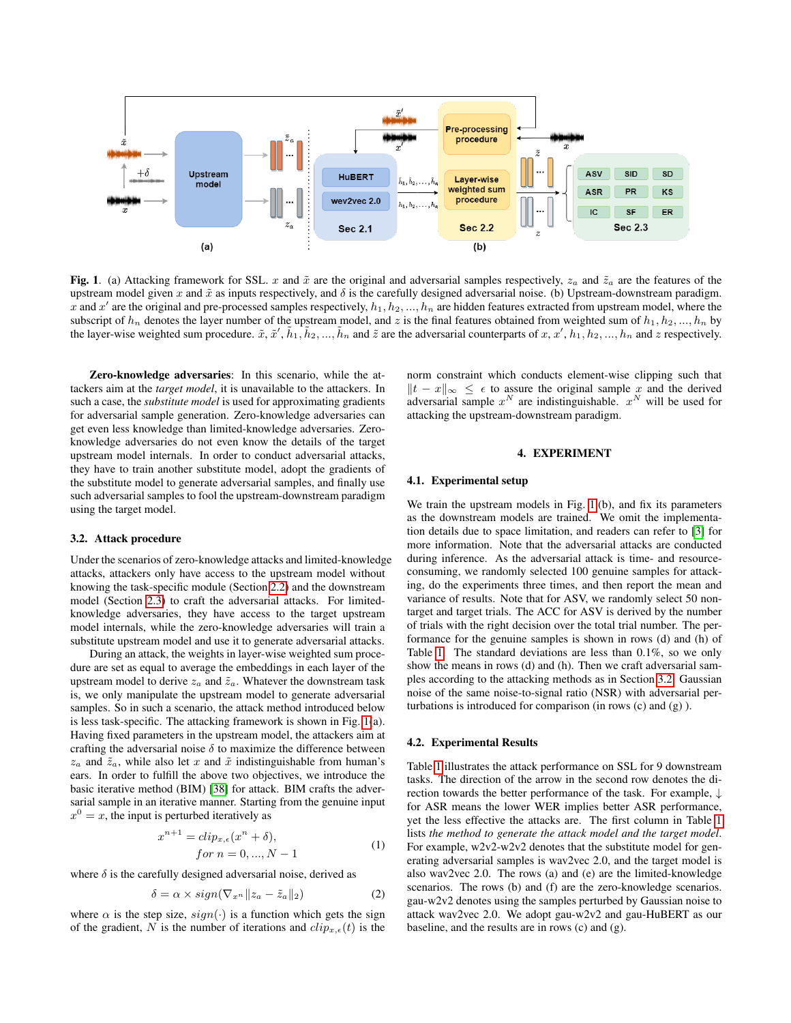

<span id="page-2-0"></span>Fig. 1. (a) Attacking framework for SSL. x and  $\tilde{x}$  are the original and adversarial samples respectively,  $z_a$  and  $\tilde{z}_a$  are the features of the upstream model given x and  $\tilde{x}$  as inputs respectively, and  $\delta$  is the carefully designed adversarial noise. (b) Upstream-downstream paradigm. x and x' are the original and pre-processed samples respectively,  $h_1, h_2, ..., h_n$  are hidden features extracted from upstream model, where the subscript of  $h_n$  denotes the layer number of the upstream model, and z is the final features obtained from weighted sum of  $h_1, h_2, ..., h_n$  by the layer-wise weighted sum procedure.  $\tilde{x}$ ,  $\tilde{x}'$ ,  $\tilde{h}_1$ ,  $\tilde{h}_2$ , ...,  $\tilde{h}_n$  and  $\tilde{z}$  are the adversarial counterparts of x, x',  $h_1$ ,  $h_2$ , ...,  $h_n$  and z respectively.

Zero-knowledge adversaries: In this scenario, while the attackers aim at the *target model*, it is unavailable to the attackers. In such a case, the *substitute model* is used for approximating gradients for adversarial sample generation. Zero-knowledge adversaries can get even less knowledge than limited-knowledge adversaries. Zeroknowledge adversaries do not even know the details of the target upstream model internals. In order to conduct adversarial attacks, they have to train another substitute model, adopt the gradients of the substitute model to generate adversarial samples, and finally use such adversarial samples to fool the upstream-downstream paradigm using the target model.

## <span id="page-2-2"></span>3.2. Attack procedure

Under the scenarios of zero-knowledge attacks and limited-knowledge attacks, attackers only have access to the upstream model without knowing the task-specific module (Section [2.2\)](#page-1-3) and the downstream model (Section [2.3\)](#page-1-2) to craft the adversarial attacks. For limitedknowledge adversaries, they have access to the target upstream model internals, while the zero-knowledge adversaries will train a substitute upstream model and use it to generate adversarial attacks.

During an attack, the weights in layer-wise weighted sum procedure are set as equal to average the embeddings in each layer of the upstream model to derive  $z_a$  and  $\tilde{z}_a$ . Whatever the downstream task is, we only manipulate the upstream model to generate adversarial samples. So in such a scenario, the attack method introduced below is less task-specific. The attacking framework is shown in Fig. [1\(](#page-2-0)a). Having fixed parameters in the upstream model, the attackers aim at crafting the adversarial noise  $\delta$  to maximize the difference between  $z_a$  and  $\tilde{z}_a$ , while also let x and  $\tilde{x}$  indistinguishable from human's ears. In order to fulfill the above two objectives, we introduce the basic iterative method (BIM) [\[38\]](#page-4-28) for attack. BIM crafts the adversarial sample in an iterative manner. Starting from the genuine input  $x^0 = x$ , the input is perturbed iteratively as

$$
x^{n+1} = clip_{x,\epsilon}(x^n + \delta),
$$
  
for  $n = 0, ..., N - 1$  (1)

where  $\delta$  is the carefully designed adversarial noise, derived as

$$
\delta = \alpha \times sign(\nabla_{x^n} || z_a - \tilde{z}_a ||_2)
$$
\n(2)

where  $\alpha$  is the step size,  $sign(\cdot)$  is a function which gets the sign of the gradient, N is the number of iterations and  $clip_{x,\epsilon}(t)$  is the

norm constraint which conducts element-wise clipping such that  $||t - x||_{\infty}$  ≤  $\epsilon$  to assure the original sample x and the derived adversarial sample  $x^N$  are indistinguishable.  $x^N$  will be used for attacking the upstream-downstream paradigm.

## 4. EXPERIMENT

## <span id="page-2-1"></span>4.1. Experimental setup

We train the upstream models in Fig. [1.](#page-2-0)(b), and fix its parameters as the downstream models are trained. We omit the implementation details due to space limitation, and readers can refer to [\[3\]](#page-4-2) for more information. Note that the adversarial attacks are conducted during inference. As the adversarial attack is time- and resourceconsuming, we randomly selected 100 genuine samples for attacking, do the experiments three times, and then report the mean and variance of results. Note that for ASV, we randomly select 50 nontarget and target trials. The ACC for ASV is derived by the number of trials with the right decision over the total trial number. The performance for the genuine samples is shown in rows (d) and (h) of Table [1.](#page-3-0) The standard deviations are less than 0.1%, so we only show the means in rows (d) and (h). Then we craft adversarial samples according to the attacking methods as in Section [3.2.](#page-2-2) Gaussian noise of the same noise-to-signal ratio (NSR) with adversarial perturbations is introduced for comparison (in rows (c) and (g) ).

#### 4.2. Experimental Results

Table [1](#page-3-0) illustrates the attack performance on SSL for 9 downstream tasks. The direction of the arrow in the second row denotes the direction towards the better performance of the task. For example, ↓ for ASR means the lower WER implies better ASR performance, yet the less effective the attacks are. The first column in Table [1](#page-3-0) lists *the method to generate the attack model and the target model*. For example, w2v2-w2v2 denotes that the substitute model for generating adversarial samples is wav2vec 2.0, and the target model is also wav2vec 2.0. The rows (a) and (e) are the limited-knowledge scenarios. The rows (b) and (f) are the zero-knowledge scenarios. gau-w2v2 denotes using the samples perturbed by Gaussian noise to attack wav2vec 2.0. We adopt gau-w2v2 and gau-HuBERT as our baseline, and the results are in rows (c) and (g).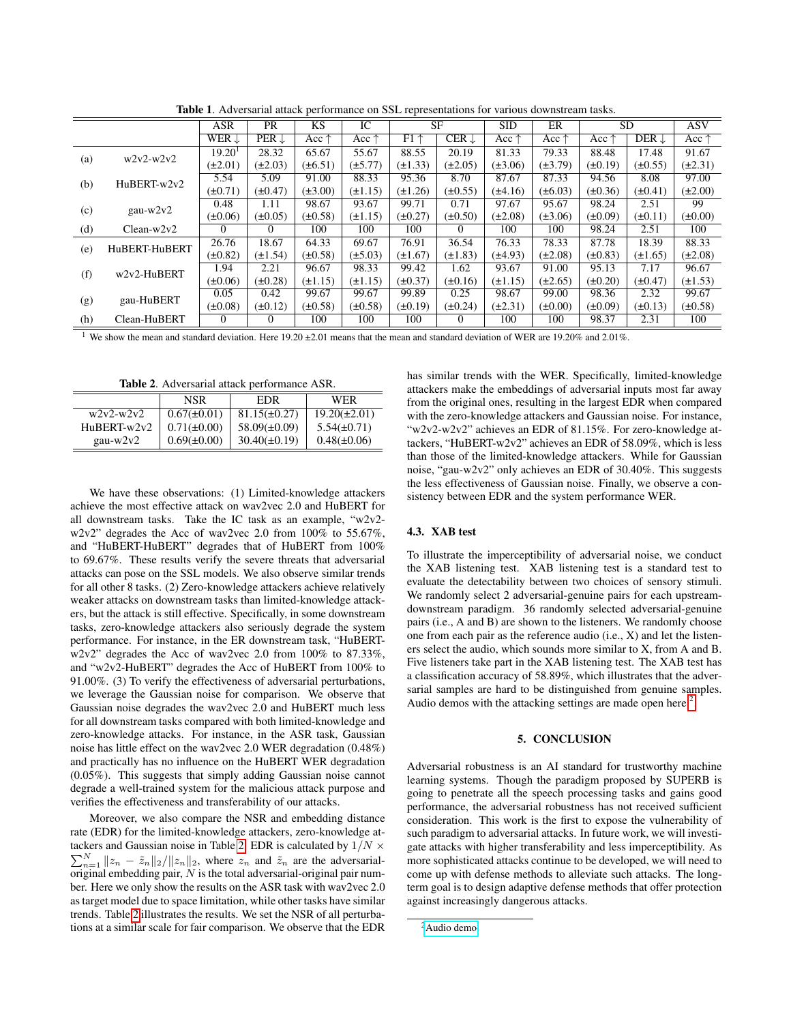|     |               | <b>ASR</b>         | <b>PR</b>        | <b>KS</b>      | IC             | <b>SF</b>       |                  | <b>SID</b>     | ER             | <b>SD</b>      |                  | <b>ASV</b>     |
|-----|---------------|--------------------|------------------|----------------|----------------|-----------------|------------------|----------------|----------------|----------------|------------------|----------------|
|     |               | WER $\downarrow$   | $PER \downarrow$ | Acc $\uparrow$ | Acc $\uparrow$ | $FI$ $\uparrow$ | $CER \downarrow$ | Acc $\uparrow$ | Acc $\uparrow$ | Acc $\uparrow$ | DER $\downarrow$ | Acc $\uparrow$ |
| (a) | $w2v2-w2v2$   | 19.20 <sup>1</sup> | 28.32            | 65.67          | 55.67          | 88.55           | 20.19            | 81.33          | 79.33          | 88.48          | 17.48            | 91.67          |
|     |               | $(\pm 2.01)$       | $(\pm 2.03)$     | $(\pm 6.51)$   | $(\pm 5.77)$   | $(\pm 1.33)$    | $(\pm 2.05)$     | $(\pm 3.06)$   | $(\pm 3.79)$   | $(\pm 0.19)$   | $(\pm 0.55)$     | $(\pm 2.31)$   |
| (b) | HuBERT-w2v2   | 5.54               | 5.09             | 91.00          | 88.33          | 95.36           | 8.70             | 87.67          | 87.33          | 94.56          | 8.08             | 97.00          |
|     |               | $(\pm 0.71)$       | $(\pm 0.47)$     | $(\pm 3.00)$   | $(\pm 1.15)$   | $(\pm 1.26)$    | $(\pm 0.55)$     | $(\pm 4.16)$   | $(\pm 6.03)$   | $(\pm 0.36)$   | $(\pm 0.41)$     | $(\pm 2.00)$   |
| (c) | $gau-w2v2$    | 0.48               | 1.11             | 98.67          | 93.67          | 99.71           | 0.71             | 97.67          | 95.67          | 98.24          | 2.51             | 99             |
|     |               | $(\pm 0.06)$       | $(\pm 0.05)$     | $(\pm 0.58)$   | $(\pm 1.15)$   | $(\pm 0.27)$    | $(\pm 0.50)$     | $(\pm 2.08)$   | $(\pm 3.06)$   | $(\pm 0.09)$   | $(\pm 0.11)$     | $(\pm 0.00)$   |
| (d) | $Clean-w2v2$  | $\Omega$           | 0                | 100            | 100            | 100             | $\Omega$         | 100            | 100            | 98.24          | 2.51             | 100            |
| (e) | HuBERT-HuBERT | 26.76              | 18.67            | 64.33          | 69.67          | 76.91           | 36.54            | 76.33          | 78.33          | 87.78          | 18.39            | 88.33          |
|     |               | $(\pm 0.82)$       | $(\pm 1.54)$     | $(\pm 0.58)$   | $(\pm 5.03)$   | $(\pm 1.67)$    | $(\pm 1.83)$     | $(\pm 4.93)$   | $(\pm 2.08)$   | $(\pm 0.83)$   | $(\pm 1.65)$     | $(\pm 2.08)$   |
| (f) | w2v2-HuBERT   | 1.94               | 2.21             | 96.67          | 98.33          | 99.42           | 1.62             | 93.67          | 91.00          | 95.13          | 7.17             | 96.67          |
|     |               | $(\pm 0.06)$       | $(\pm 0.28)$     | $(\pm 1.15)$   | $(\pm 1.15)$   | $(\pm 0.37)$    | $(\pm 0.16)$     | $(\pm 1.15)$   | $(\pm 2.65)$   | $(\pm 0.20)$   | $(\pm 0.47)$     | $(\pm 1.53)$   |
| (g) | gau-HuBERT    | 0.05               | 0.42             | 99.67          | 99.67          | 99.89           | 0.25             | 98.67          | 99.00          | 98.36          | 2.32             | 99.67          |
|     |               | $(\pm 0.08)$       | $(\pm 0.12)$     | $(\pm 0.58)$   | $(\pm 0.58)$   | $(\pm 0.19)$    | $(\pm 0.24)$     | $(\pm 2.31)$   | $(\pm 0.00)$   | $(\pm 0.09)$   | $(\pm 0.13)$     | $(\pm 0.58)$   |
| (h) | Clean-HuBERT  | $\Omega$           | $\Omega$         | 100            | 100            | 100             | $\theta$         | 100            | 100            | 98.37          | 2.31             | 100            |

<span id="page-3-0"></span>Table 1. Adversarial attack performance on SSL representations for various downstream tasks.

<sup>1</sup> We show the mean and standard deviation. Here 19.20  $\pm$ 2.01 means that the mean and standard deviation of WER are 19.20% and 2.01%.

<span id="page-3-1"></span>Table 2. Adversarial attack performance ASR.

|               | NSR              | EDR               | WER               |
|---------------|------------------|-------------------|-------------------|
| $w2v2-w2v2$   | $0.67(\pm 0.01)$ | $81.15(\pm 0.27)$ | $19.20(\pm 2.01)$ |
| $HuBERT-w2v2$ | $0.71(\pm 0.00)$ | $58.09(\pm 0.09)$ | $5.54(\pm 0.71)$  |
| gau-w2v2      | $0.69(\pm 0.00)$ | $30.40(\pm 0.19)$ | $0.48(\pm 0.06)$  |

We have these observations: (1) Limited-knowledge attackers achieve the most effective attack on wav2vec 2.0 and HuBERT for all downstream tasks. Take the IC task as an example, "w2v2 w2v2" degrades the Acc of wav2vec 2.0 from 100% to 55.67%, and "HuBERT-HuBERT" degrades that of HuBERT from 100% to 69.67%. These results verify the severe threats that adversarial attacks can pose on the SSL models. We also observe similar trends for all other 8 tasks. (2) Zero-knowledge attackers achieve relatively weaker attacks on downstream tasks than limited-knowledge attackers, but the attack is still effective. Specifically, in some downstream tasks, zero-knowledge attackers also seriously degrade the system performance. For instance, in the ER downstream task, "HuBERTw2v2" degrades the Acc of wav2vec 2.0 from 100% to 87.33%, and "w2v2-HuBERT" degrades the Acc of HuBERT from 100% to 91.00%. (3) To verify the effectiveness of adversarial perturbations, we leverage the Gaussian noise for comparison. We observe that Gaussian noise degrades the wav2vec 2.0 and HuBERT much less for all downstream tasks compared with both limited-knowledge and zero-knowledge attacks. For instance, in the ASR task, Gaussian noise has little effect on the wav2vec 2.0 WER degradation (0.48%) and practically has no influence on the HuBERT WER degradation (0.05%). This suggests that simply adding Gaussian noise cannot degrade a well-trained system for the malicious attack purpose and verifies the effectiveness and transferability of our attacks.

Moreover, we also compare the NSR and embedding distance rate (EDR) for the limited-knowledge attackers, zero-knowledge at-tackers and Gaussian noise in Table [2.](#page-3-1) EDR is calculated by  $1/N \times$  $\sum_{n=1}^{N} ||z_n - \tilde{z}_n||_2 / ||z_n||_2$ , where  $z_n$  and  $\tilde{z}_n$  are the adversarialoriginal embedding pair,  $N$  is the total adversarial-original pair number. Here we only show the results on the ASR task with wav2vec 2.0 as target model due to space limitation, while other tasks have similar trends. Table [2](#page-3-1) illustrates the results. We set the NSR of all perturbations at a similar scale for fair comparison. We observe that the EDR

has similar trends with the WER. Specifically, limited-knowledge attackers make the embeddings of adversarial inputs most far away from the original ones, resulting in the largest EDR when compared with the zero-knowledge attackers and Gaussian noise. For instance, "w2v2-w2v2" achieves an EDR of 81.15%. For zero-knowledge attackers, "HuBERT-w2v2" achieves an EDR of 58.09%, which is less than those of the limited-knowledge attackers. While for Gaussian noise, "gau-w2v2" only achieves an EDR of 30.40%. This suggests the less effectiveness of Gaussian noise. Finally, we observe a consistency between EDR and the system performance WER.

## 4.3. XAB test

To illustrate the imperceptibility of adversarial noise, we conduct the XAB listening test. XAB listening test is a standard test to evaluate the detectability between two choices of sensory stimuli. We randomly select 2 adversarial-genuine pairs for each upstreamdownstream paradigm. 36 randomly selected adversarial-genuine pairs (i.e., A and B) are shown to the listeners. We randomly choose one from each pair as the reference audio (i.e., X) and let the listeners select the audio, which sounds more similar to X, from A and B. Five listeners take part in the XAB listening test. The XAB test has a classification accuracy of 58.89%, which illustrates that the adversarial samples are hard to be distinguished from genuine samples. Audio demos with the attacking settings are made open here  $2$ .

## 5. CONCLUSION

Adversarial robustness is an AI standard for trustworthy machine learning systems. Though the paradigm proposed by SUPERB is going to penetrate all the speech processing tasks and gains good performance, the adversarial robustness has not received sufficient consideration. This work is the first to expose the vulnerability of such paradigm to adversarial attacks. In future work, we will investigate attacks with higher transferability and less imperceptibility. As more sophisticated attacks continue to be developed, we will need to come up with defense methods to alleviate such attacks. The longterm goal is to design adaptive defense methods that offer protection against increasingly dangerous attacks.

<span id="page-3-2"></span><sup>2</sup>[Audio demo](https://bzheng1024.github.io/adv-audio-demo/index.html)